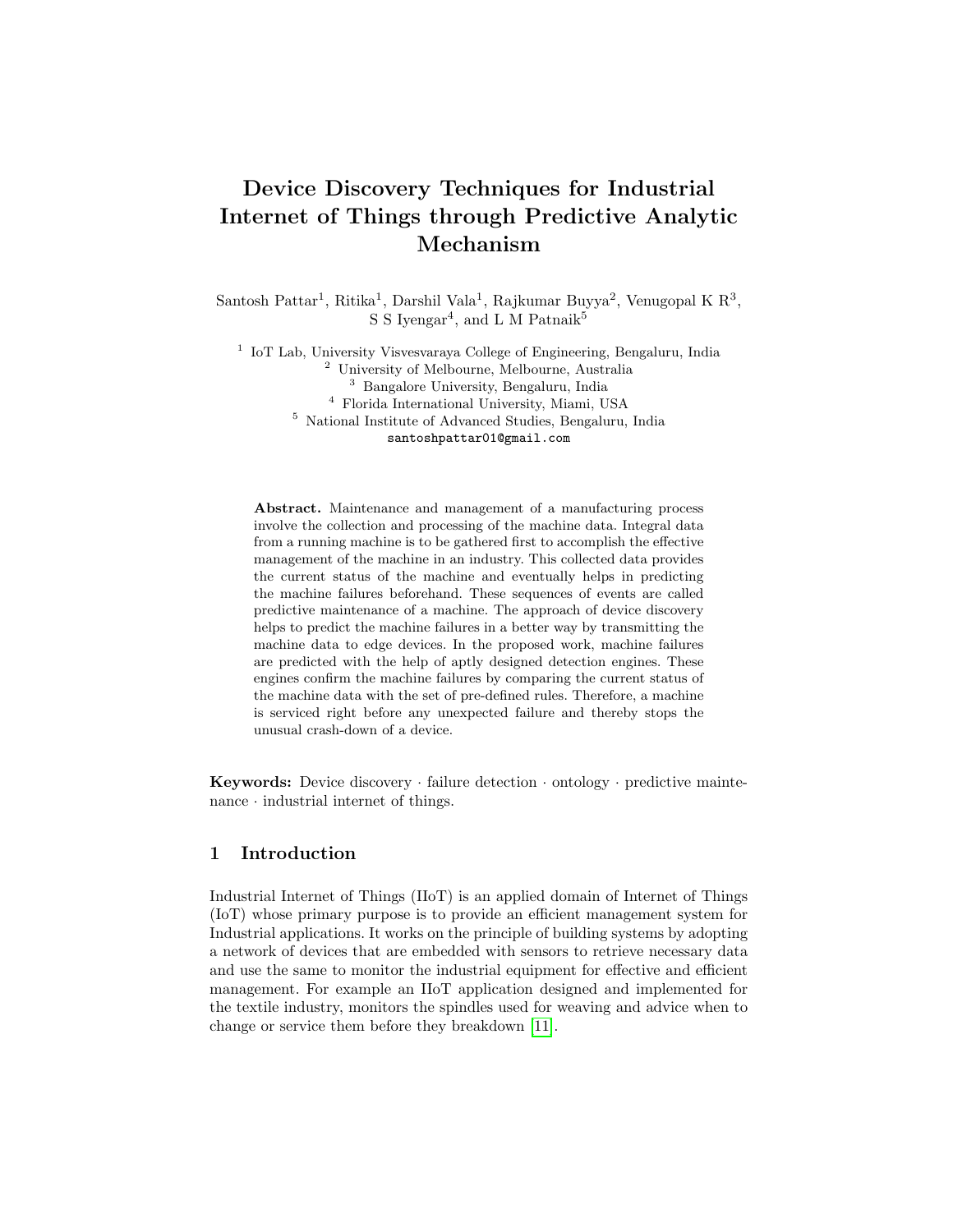# Device Discovery Techniques for Industrial Internet of Things through Predictive Analytic Mechanism

Santosh Pattar<sup>1</sup>, Ritika<sup>1</sup>, Darshil Vala<sup>1</sup>, Rajkumar Buyya<sup>2</sup>, Venugopal K R<sup>3</sup>,  $S S$  Iyengar<sup>4</sup>, and L M Patnaik<sup>5</sup>

<sup>1</sup> IoT Lab, University Visvesvaraya College of Engineering, Bengaluru, India University of Melbourne, Melbourne, Australia Bangalore University, Bengaluru, India Florida International University, Miami, USA National Institute of Advanced Studies, Bengaluru, India santoshpattar01@gmail.com

Abstract. Maintenance and management of a manufacturing process involve the collection and processing of the machine data. Integral data from a running machine is to be gathered first to accomplish the effective management of the machine in an industry. This collected data provides the current status of the machine and eventually helps in predicting the machine failures beforehand. These sequences of events are called predictive maintenance of a machine. The approach of device discovery helps to predict the machine failures in a better way by transmitting the machine data to edge devices. In the proposed work, machine failures are predicted with the help of aptly designed detection engines. These engines confirm the machine failures by comparing the current status of the machine data with the set of pre-defined rules. Therefore, a machine is serviced right before any unexpected failure and thereby stops the unusual crash-down of a device.

Keywords: Device discovery · failure detection · ontology · predictive maintenance  $\cdot$  industrial internet of things.

# 1 Introduction

Industrial Internet of Things (IIoT) is an applied domain of Internet of Things (IoT) whose primary purpose is to provide an efficient management system for Industrial applications. It works on the principle of building systems by adopting a network of devices that are embedded with sensors to retrieve necessary data and use the same to monitor the industrial equipment for effective and efficient management. For example an IIoT application designed and implemented for the textile industry, monitors the spindles used for weaving and advice when to change or service them before they breakdown [\[11\]](#page-12-0).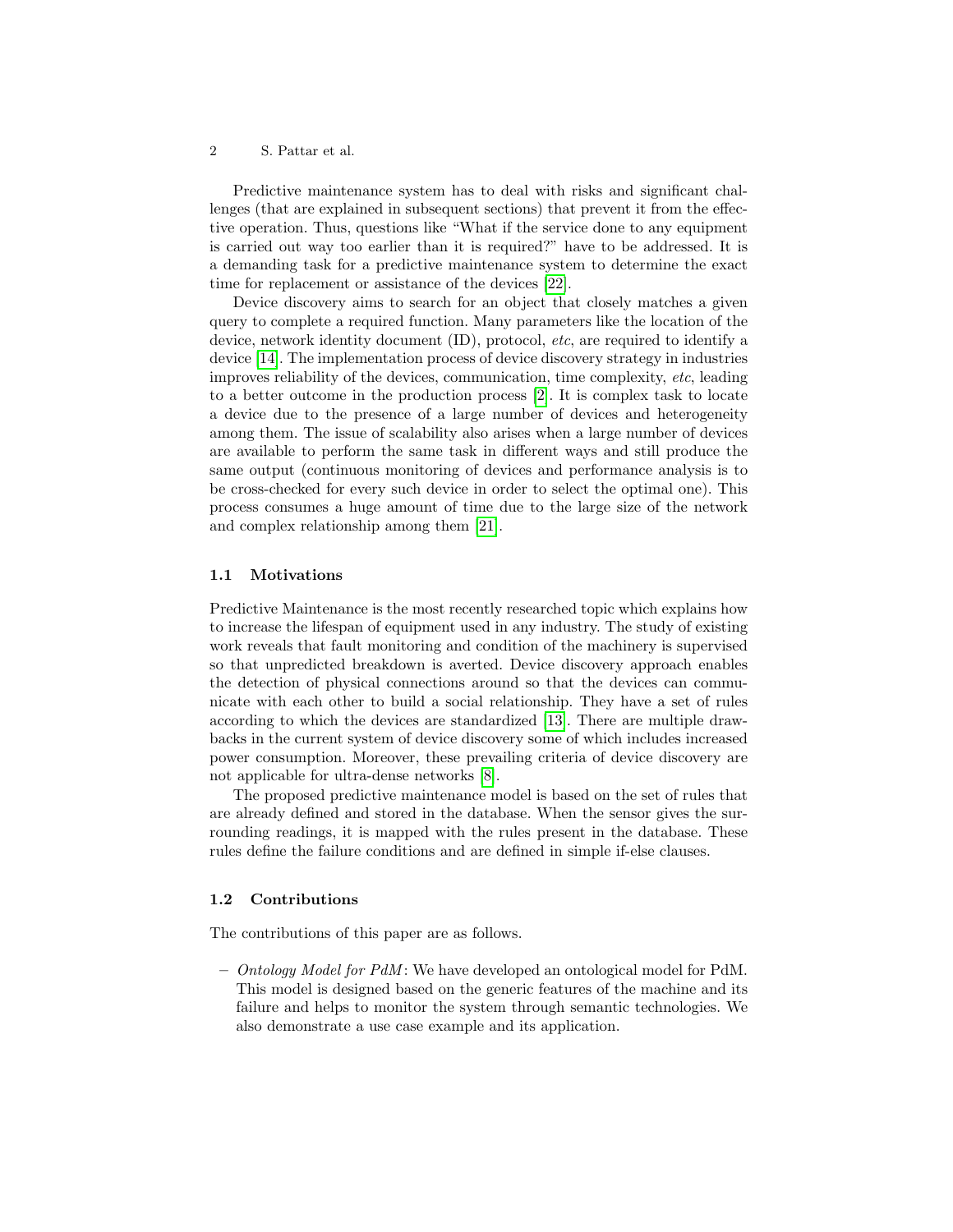Predictive maintenance system has to deal with risks and significant challenges (that are explained in subsequent sections) that prevent it from the effective operation. Thus, questions like "What if the service done to any equipment is carried out way too earlier than it is required?" have to be addressed. It is a demanding task for a predictive maintenance system to determine the exact time for replacement or assistance of the devices [\[22\]](#page-13-0).

Device discovery aims to search for an object that closely matches a given query to complete a required function. Many parameters like the location of the device, network identity document (ID), protocol, etc, are required to identify a device [\[14\]](#page-13-1). The implementation process of device discovery strategy in industries improves reliability of the devices, communication, time complexity, etc, leading to a better outcome in the production process [\[2\]](#page-12-1). It is complex task to locate a device due to the presence of a large number of devices and heterogeneity among them. The issue of scalability also arises when a large number of devices are available to perform the same task in different ways and still produce the same output (continuous monitoring of devices and performance analysis is to be cross-checked for every such device in order to select the optimal one). This process consumes a huge amount of time due to the large size of the network and complex relationship among them [\[21\]](#page-13-2).

# 1.1 Motivations

Predictive Maintenance is the most recently researched topic which explains how to increase the lifespan of equipment used in any industry. The study of existing work reveals that fault monitoring and condition of the machinery is supervised so that unpredicted breakdown is averted. Device discovery approach enables the detection of physical connections around so that the devices can communicate with each other to build a social relationship. They have a set of rules according to which the devices are standardized [\[13\]](#page-12-2). There are multiple drawbacks in the current system of device discovery some of which includes increased power consumption. Moreover, these prevailing criteria of device discovery are not applicable for ultra-dense networks [\[8\]](#page-12-3).

The proposed predictive maintenance model is based on the set of rules that are already defined and stored in the database. When the sensor gives the surrounding readings, it is mapped with the rules present in the database. These rules define the failure conditions and are defined in simple if-else clauses.

#### 1.2 Contributions

The contributions of this paper are as follows.

 $-$  *Ontology Model for PdM*: We have developed an ontological model for PdM. This model is designed based on the generic features of the machine and its failure and helps to monitor the system through semantic technologies. We also demonstrate a use case example and its application.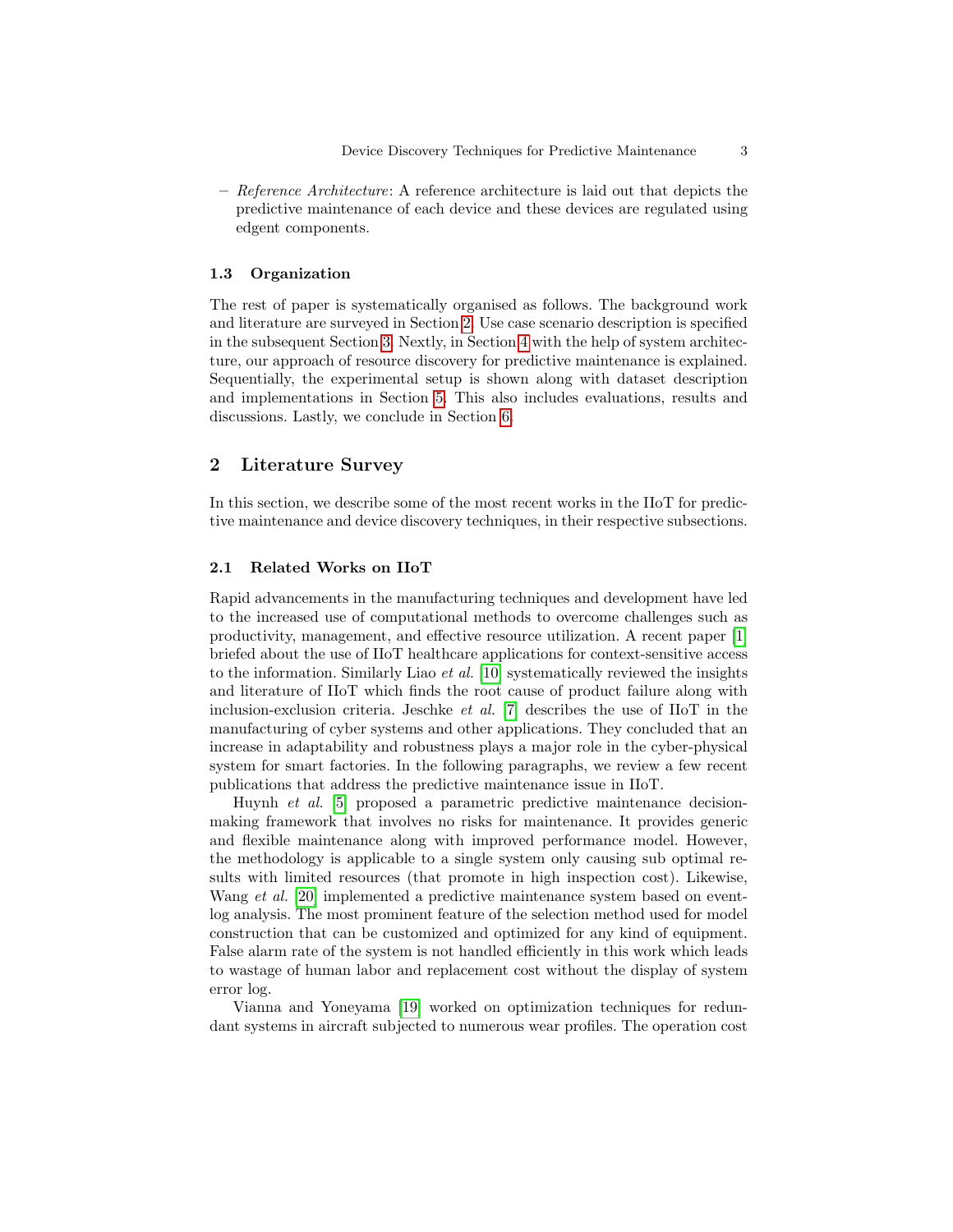– Reference Architecture: A reference architecture is laid out that depicts the predictive maintenance of each device and these devices are regulated using edgent components.

#### 1.3 Organization

The rest of paper is systematically organised as follows. The background work and literature are surveyed in Section [2.](#page-2-0) Use case scenario description is specified in the subsequent Section [3.](#page-4-0) Nextly, in Section [4](#page-8-0) with the help of system architecture, our approach of resource discovery for predictive maintenance is explained. Sequentially, the experimental setup is shown along with dataset description and implementations in Section [5.](#page-10-0) This also includes evaluations, results and discussions. Lastly, we conclude in Section [6.](#page-12-4)

# <span id="page-2-0"></span>2 Literature Survey

In this section, we describe some of the most recent works in the IIoT for predictive maintenance and device discovery techniques, in their respective subsections.

#### 2.1 Related Works on IIoT

Rapid advancements in the manufacturing techniques and development have led to the increased use of computational methods to overcome challenges such as productivity, management, and effective resource utilization. A recent paper [\[1\]](#page-12-5) briefed about the use of IIoT healthcare applications for context-sensitive access to the information. Similarly Liao  $et \ al.$  [\[10\]](#page-12-6) systematically reviewed the insights and literature of IIoT which finds the root cause of product failure along with inclusion-exclusion criteria. Jeschke et al. [\[7\]](#page-12-7) describes the use of IIoT in the manufacturing of cyber systems and other applications. They concluded that an increase in adaptability and robustness plays a major role in the cyber-physical system for smart factories. In the following paragraphs, we review a few recent publications that address the predictive maintenance issue in IIoT.

Huynh et al. [\[5\]](#page-12-8) proposed a parametric predictive maintenance decisionmaking framework that involves no risks for maintenance. It provides generic and flexible maintenance along with improved performance model. However, the methodology is applicable to a single system only causing sub optimal results with limited resources (that promote in high inspection cost). Likewise, Wang *et al.* [\[20\]](#page-13-3) implemented a predictive maintenance system based on eventlog analysis. The most prominent feature of the selection method used for model construction that can be customized and optimized for any kind of equipment. False alarm rate of the system is not handled efficiently in this work which leads to wastage of human labor and replacement cost without the display of system error log.

Vianna and Yoneyama [\[19\]](#page-13-4) worked on optimization techniques for redundant systems in aircraft subjected to numerous wear profiles. The operation cost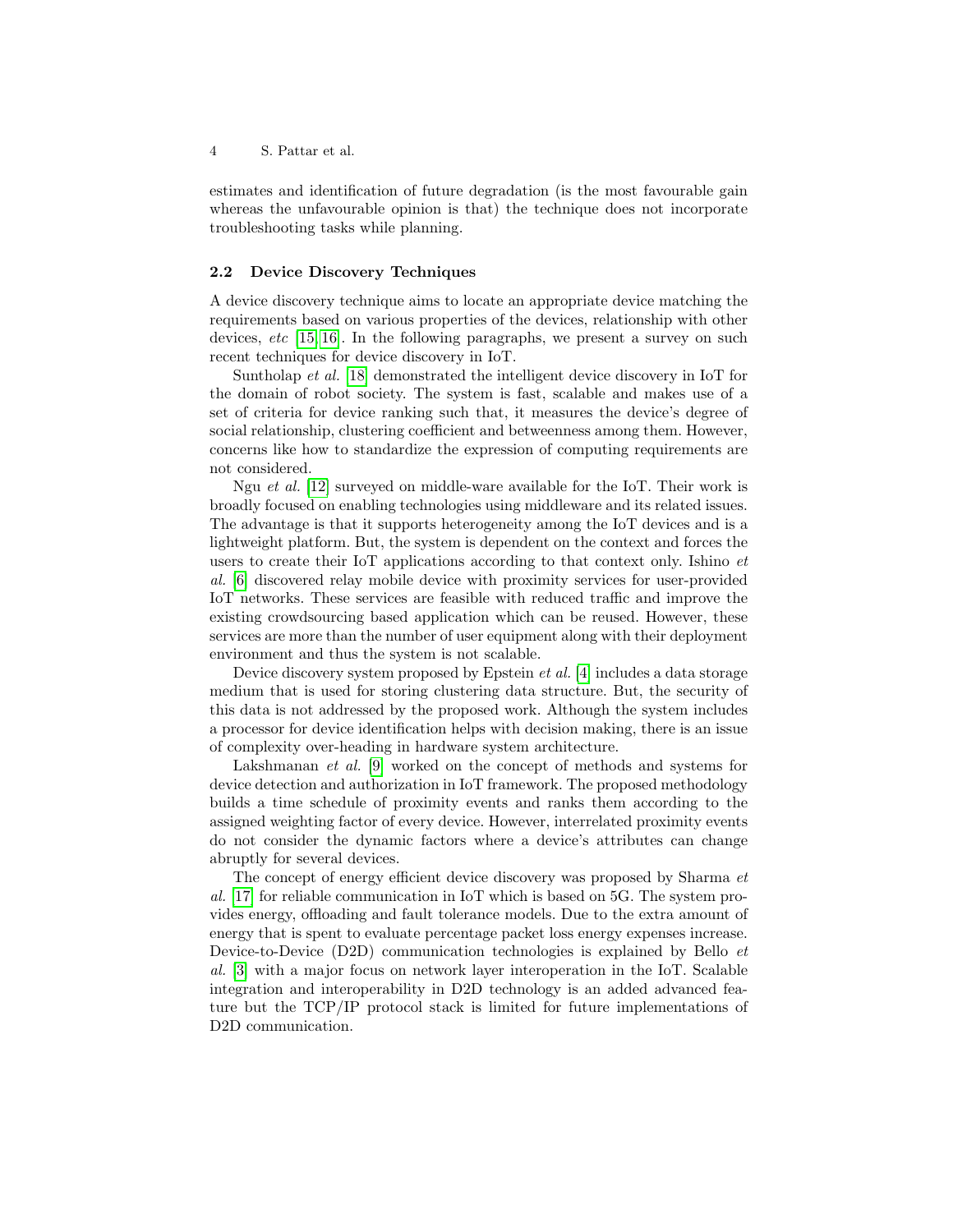estimates and identification of future degradation (is the most favourable gain whereas the unfavourable opinion is that) the technique does not incorporate troubleshooting tasks while planning.

#### 2.2 Device Discovery Techniques

A device discovery technique aims to locate an appropriate device matching the requirements based on various properties of the devices, relationship with other devices, etc [\[15,](#page-13-5) [16\]](#page-13-6). In the following paragraphs, we present a survey on such recent techniques for device discovery in IoT.

Suntholap et al. [\[18\]](#page-13-7) demonstrated the intelligent device discovery in IoT for the domain of robot society. The system is fast, scalable and makes use of a set of criteria for device ranking such that, it measures the device's degree of social relationship, clustering coefficient and betweenness among them. However, concerns like how to standardize the expression of computing requirements are not considered.

Ngu et al. [\[12\]](#page-12-9) surveyed on middle-ware available for the IoT. Their work is broadly focused on enabling technologies using middleware and its related issues. The advantage is that it supports heterogeneity among the IoT devices and is a lightweight platform. But, the system is dependent on the context and forces the users to create their IoT applications according to that context only. Ishino et al. [\[6\]](#page-12-10) discovered relay mobile device with proximity services for user-provided IoT networks. These services are feasible with reduced traffic and improve the existing crowdsourcing based application which can be reused. However, these services are more than the number of user equipment along with their deployment environment and thus the system is not scalable.

Device discovery system proposed by Epstein et al. [\[4\]](#page-12-11) includes a data storage medium that is used for storing clustering data structure. But, the security of this data is not addressed by the proposed work. Although the system includes a processor for device identification helps with decision making, there is an issue of complexity over-heading in hardware system architecture.

Lakshmanan *et al.* [\[9\]](#page-12-12) worked on the concept of methods and systems for device detection and authorization in IoT framework. The proposed methodology builds a time schedule of proximity events and ranks them according to the assigned weighting factor of every device. However, interrelated proximity events do not consider the dynamic factors where a device's attributes can change abruptly for several devices.

The concept of energy efficient device discovery was proposed by Sharma et al. [\[17\]](#page-13-8) for reliable communication in IoT which is based on 5G. The system provides energy, offloading and fault tolerance models. Due to the extra amount of energy that is spent to evaluate percentage packet loss energy expenses increase. Device-to-Device (D2D) communication technologies is explained by Bello et al. [\[3\]](#page-12-13) with a major focus on network layer interoperation in the IoT. Scalable integration and interoperability in D2D technology is an added advanced feature but the TCP/IP protocol stack is limited for future implementations of D2D communication.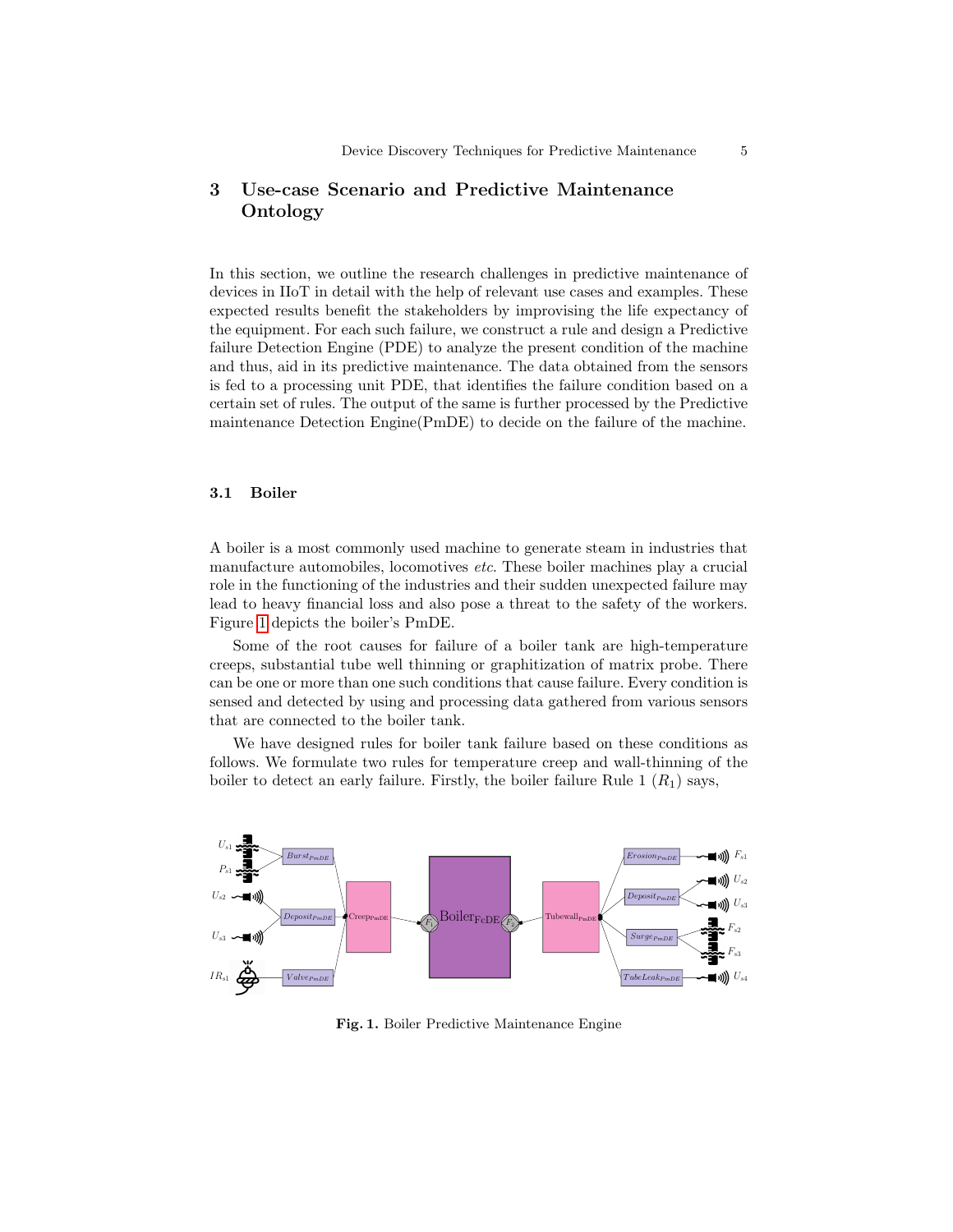# <span id="page-4-0"></span>3 Use-case Scenario and Predictive Maintenance Ontology

In this section, we outline the research challenges in predictive maintenance of devices in IIoT in detail with the help of relevant use cases and examples. These expected results benefit the stakeholders by improvising the life expectancy of the equipment. For each such failure, we construct a rule and design a Predictive failure Detection Engine (PDE) to analyze the present condition of the machine and thus, aid in its predictive maintenance. The data obtained from the sensors is fed to a processing unit PDE, that identifies the failure condition based on a certain set of rules. The output of the same is further processed by the Predictive maintenance Detection Engine(PmDE) to decide on the failure of the machine.

# 3.1 Boiler

A boiler is a most commonly used machine to generate steam in industries that manufacture automobiles, locomotives etc. These boiler machines play a crucial role in the functioning of the industries and their sudden unexpected failure may lead to heavy financial loss and also pose a threat to the safety of the workers. Figure [1](#page-4-1) depicts the boiler's PmDE.

Some of the root causes for failure of a boiler tank are high-temperature creeps, substantial tube well thinning or graphitization of matrix probe. There can be one or more than one such conditions that cause failure. Every condition is sensed and detected by using and processing data gathered from various sensors that are connected to the boiler tank.

We have designed rules for boiler tank failure based on these conditions as follows. We formulate two rules for temperature creep and wall-thinning of the boiler to detect an early failure. Firstly, the boiler failure Rule  $1(R_1)$  says,



<span id="page-4-1"></span>Fig. 1. Boiler Predictive Maintenance Engine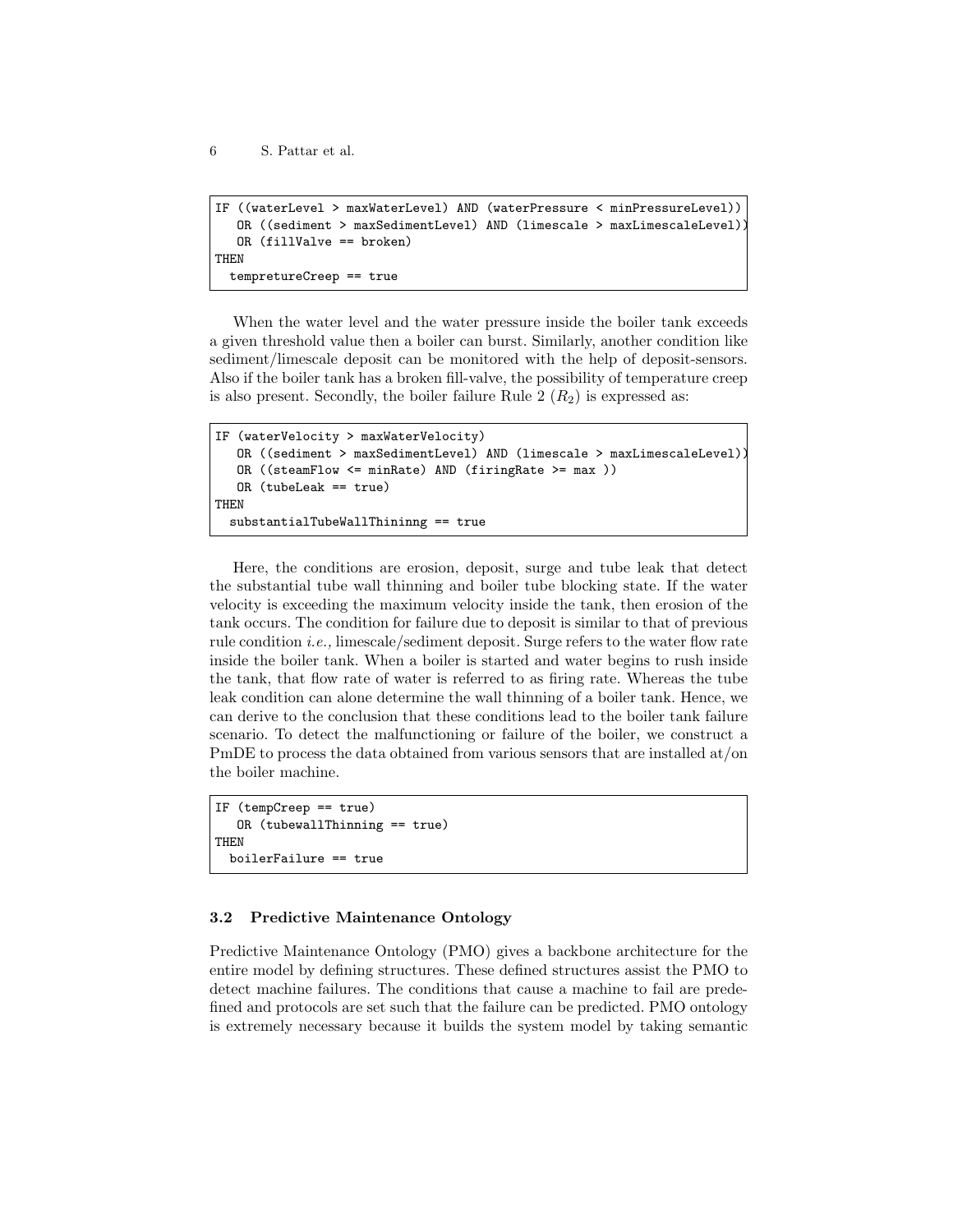```
IF ((waterLevel > maxWaterLevel) AND (waterPressure < minPressureLevel))
   OR ((sediment > maxSedimentLevel) AND (limescale > maxLimescaleLevel))
   OR (fillValve == broken)
THEN
  tempretureCreep == true
```
When the water level and the water pressure inside the boiler tank exceeds a given threshold value then a boiler can burst. Similarly, another condition like sediment/limescale deposit can be monitored with the help of deposit-sensors. Also if the boiler tank has a broken fill-valve, the possibility of temperature creep is also present. Secondly, the boiler failure Rule  $2(R_2)$  is expressed as:

```
IF (waterVelocity > maxWaterVelocity)
  OR ((sediment > maxSedimentLevel) AND (limescale > maxLimescaleLevel))
  OR ((steamFlow <= minRate) AND (firingRate >= max ))
  OR (tubeLeak == true)
THEN
 substantialTubeWallThininng == true
```
Here, the conditions are erosion, deposit, surge and tube leak that detect the substantial tube wall thinning and boiler tube blocking state. If the water velocity is exceeding the maximum velocity inside the tank, then erosion of the tank occurs. The condition for failure due to deposit is similar to that of previous rule condition i.e., limescale/sediment deposit. Surge refers to the water flow rate inside the boiler tank. When a boiler is started and water begins to rush inside the tank, that flow rate of water is referred to as firing rate. Whereas the tube leak condition can alone determine the wall thinning of a boiler tank. Hence, we can derive to the conclusion that these conditions lead to the boiler tank failure scenario. To detect the malfunctioning or failure of the boiler, we construct a PmDE to process the data obtained from various sensors that are installed at/on the boiler machine.

```
IF (tempCreep == true)
   OR (tubewallThinning == true)
THEN
  boilerFailure == true
```
#### 3.2 Predictive Maintenance Ontology

Predictive Maintenance Ontology (PMO) gives a backbone architecture for the entire model by defining structures. These defined structures assist the PMO to detect machine failures. The conditions that cause a machine to fail are predefined and protocols are set such that the failure can be predicted. PMO ontology is extremely necessary because it builds the system model by taking semantic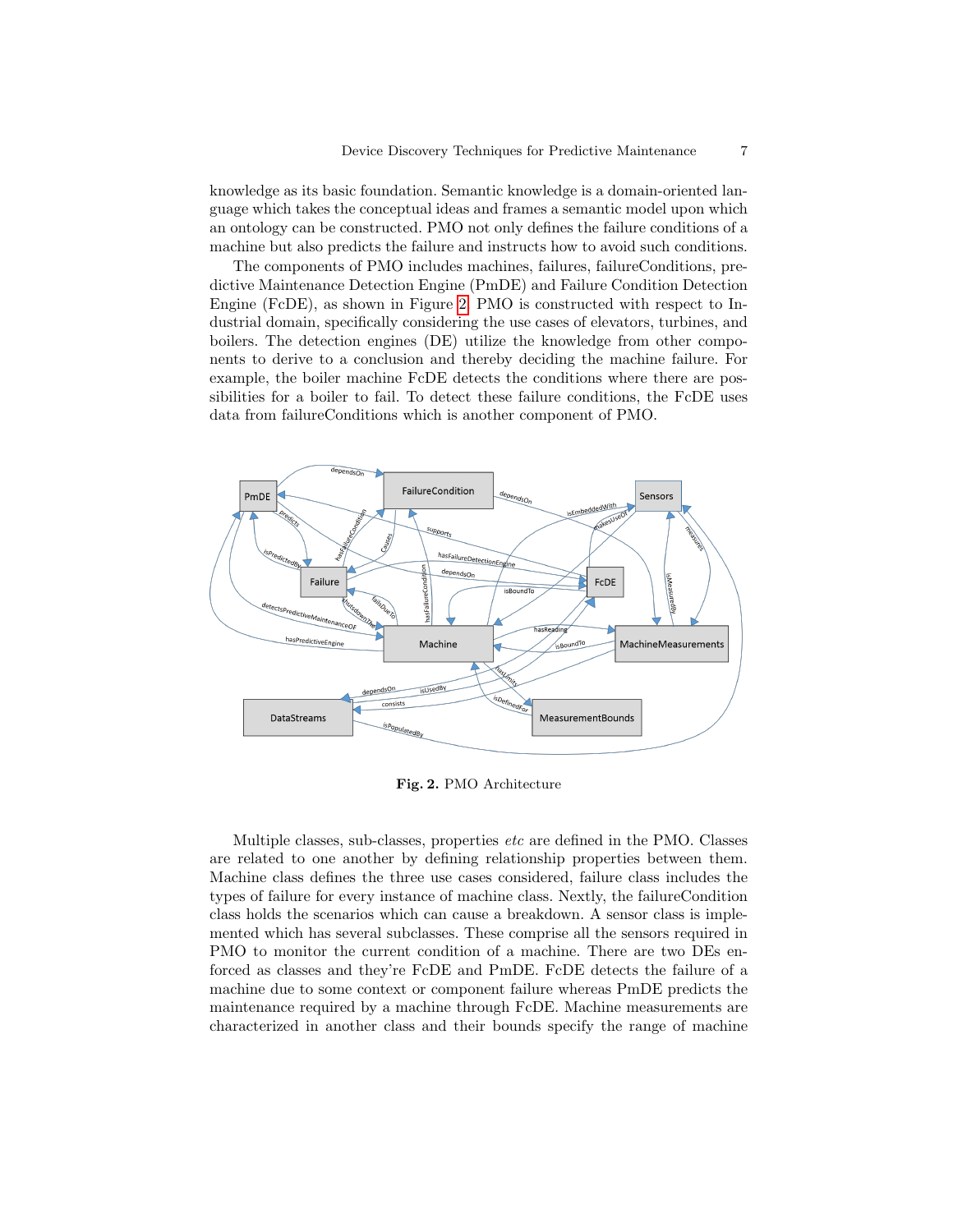knowledge as its basic foundation. Semantic knowledge is a domain-oriented language which takes the conceptual ideas and frames a semantic model upon which an ontology can be constructed. PMO not only defines the failure conditions of a machine but also predicts the failure and instructs how to avoid such conditions.

The components of PMO includes machines, failures, failureConditions, predictive Maintenance Detection Engine (PmDE) and Failure Condition Detection Engine (FcDE), as shown in Figure [2.](#page-6-0) PMO is constructed with respect to Industrial domain, specifically considering the use cases of elevators, turbines, and boilers. The detection engines (DE) utilize the knowledge from other components to derive to a conclusion and thereby deciding the machine failure. For example, the boiler machine FcDE detects the conditions where there are possibilities for a boiler to fail. To detect these failure conditions, the FcDE uses data from failureConditions which is another component of PMO.



<span id="page-6-0"></span>Fig. 2. PMO Architecture

Multiple classes, sub-classes, properties etc are defined in the PMO. Classes are related to one another by defining relationship properties between them. Machine class defines the three use cases considered, failure class includes the types of failure for every instance of machine class. Nextly, the failureCondition class holds the scenarios which can cause a breakdown. A sensor class is implemented which has several subclasses. These comprise all the sensors required in PMO to monitor the current condition of a machine. There are two DEs enforced as classes and they're FcDE and PmDE. FcDE detects the failure of a machine due to some context or component failure whereas PmDE predicts the maintenance required by a machine through FcDE. Machine measurements are characterized in another class and their bounds specify the range of machine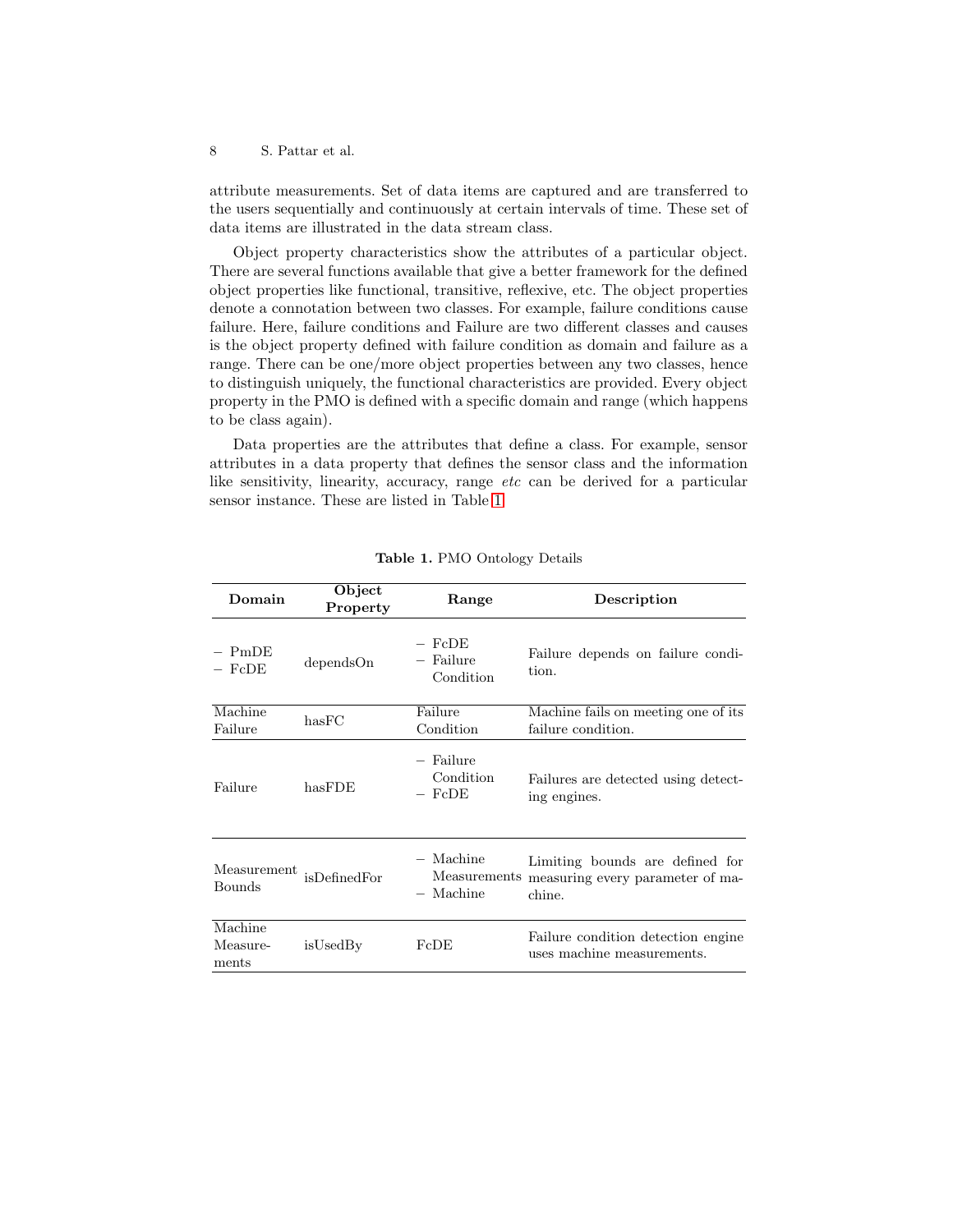attribute measurements. Set of data items are captured and are transferred to the users sequentially and continuously at certain intervals of time. These set of data items are illustrated in the data stream class.

Object property characteristics show the attributes of a particular object. There are several functions available that give a better framework for the defined object properties like functional, transitive, reflexive, etc. The object properties denote a connotation between two classes. For example, failure conditions cause failure. Here, failure conditions and Failure are two different classes and causes is the object property defined with failure condition as domain and failure as a range. There can be one/more object properties between any two classes, hence to distinguish uniquely, the functional characteristics are provided. Every object property in the PMO is defined with a specific domain and range (which happens to be class again).

Data properties are the attributes that define a class. For example, sensor attributes in a data property that defines the sensor class and the information like sensitivity, linearity, accuracy, range etc can be derived for a particular sensor instance. These are listed in Table [1.](#page-7-0)

| Domain                       | Object<br>Property | Range                                      | Description                                                                   |
|------------------------------|--------------------|--------------------------------------------|-------------------------------------------------------------------------------|
| $-$ PmDE<br>$-$ FcDE         | dependsOn          | $-$ FcDE<br>- Failure<br>Condition         | Failure depends on failure condi-<br>tion.                                    |
| Machine<br>Failure           | has FC             | Failure<br>Condition                       | Machine fails on meeting one of its<br>failure condition.                     |
| Failure                      | has FDE            | - Failure<br>Condition<br>$-$ FcDE         | Failures are detected using detect-<br>ing engines.                           |
| Measurement<br><b>Bounds</b> | isDefinedFor       | $-$ Machine<br>Measurements<br>$-$ Machine | Limiting bounds are defined for<br>measuring every parameter of ma-<br>chine. |
| Machine<br>Measure-<br>ments | isUsedBy           | FcDE                                       | Failure condition detection engine<br>uses machine measurements.              |

<span id="page-7-0"></span>Table 1. PMO Ontology Details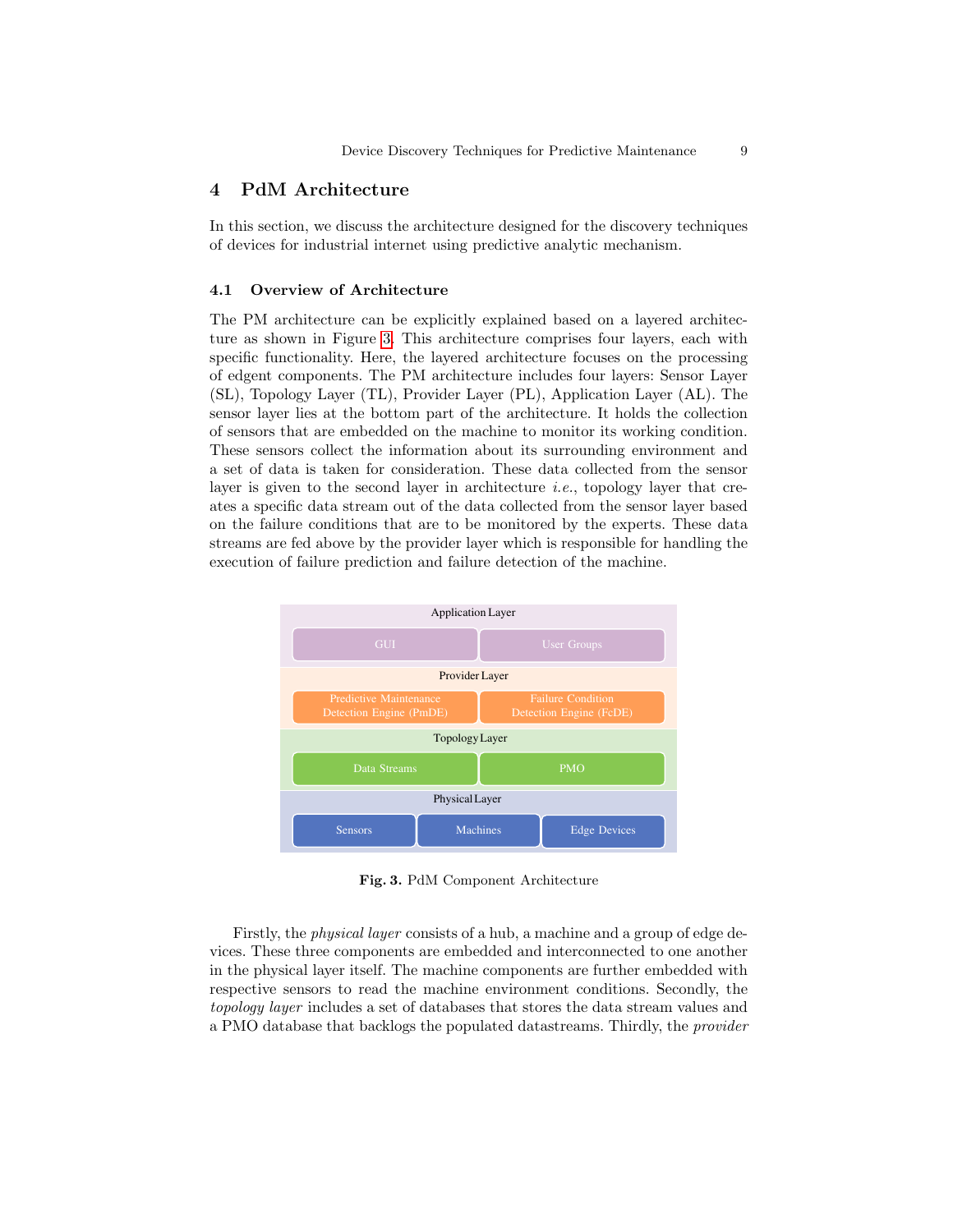# <span id="page-8-0"></span>4 PdM Architecture

In this section, we discuss the architecture designed for the discovery techniques of devices for industrial internet using predictive analytic mechanism.

# 4.1 Overview of Architecture

The PM architecture can be explicitly explained based on a layered architecture as shown in Figure [3.](#page-8-1) This architecture comprises four layers, each with specific functionality. Here, the layered architecture focuses on the processing of edgent components. The PM architecture includes four layers: Sensor Layer (SL), Topology Layer (TL), Provider Layer (PL), Application Layer (AL). The sensor layer lies at the bottom part of the architecture. It holds the collection of sensors that are embedded on the machine to monitor its working condition. These sensors collect the information about its surrounding environment and a set of data is taken for consideration. These data collected from the sensor layer is given to the second layer in architecture *i.e.*, topology layer that creates a specific data stream out of the data collected from the sensor layer based on the failure conditions that are to be monitored by the experts. These data streams are fed above by the provider layer which is responsible for handling the execution of failure prediction and failure detection of the machine.



<span id="page-8-1"></span>Fig. 3. PdM Component Architecture

Firstly, the physical layer consists of a hub, a machine and a group of edge devices. These three components are embedded and interconnected to one another in the physical layer itself. The machine components are further embedded with respective sensors to read the machine environment conditions. Secondly, the topology layer includes a set of databases that stores the data stream values and a PMO database that backlogs the populated datastreams. Thirdly, the provider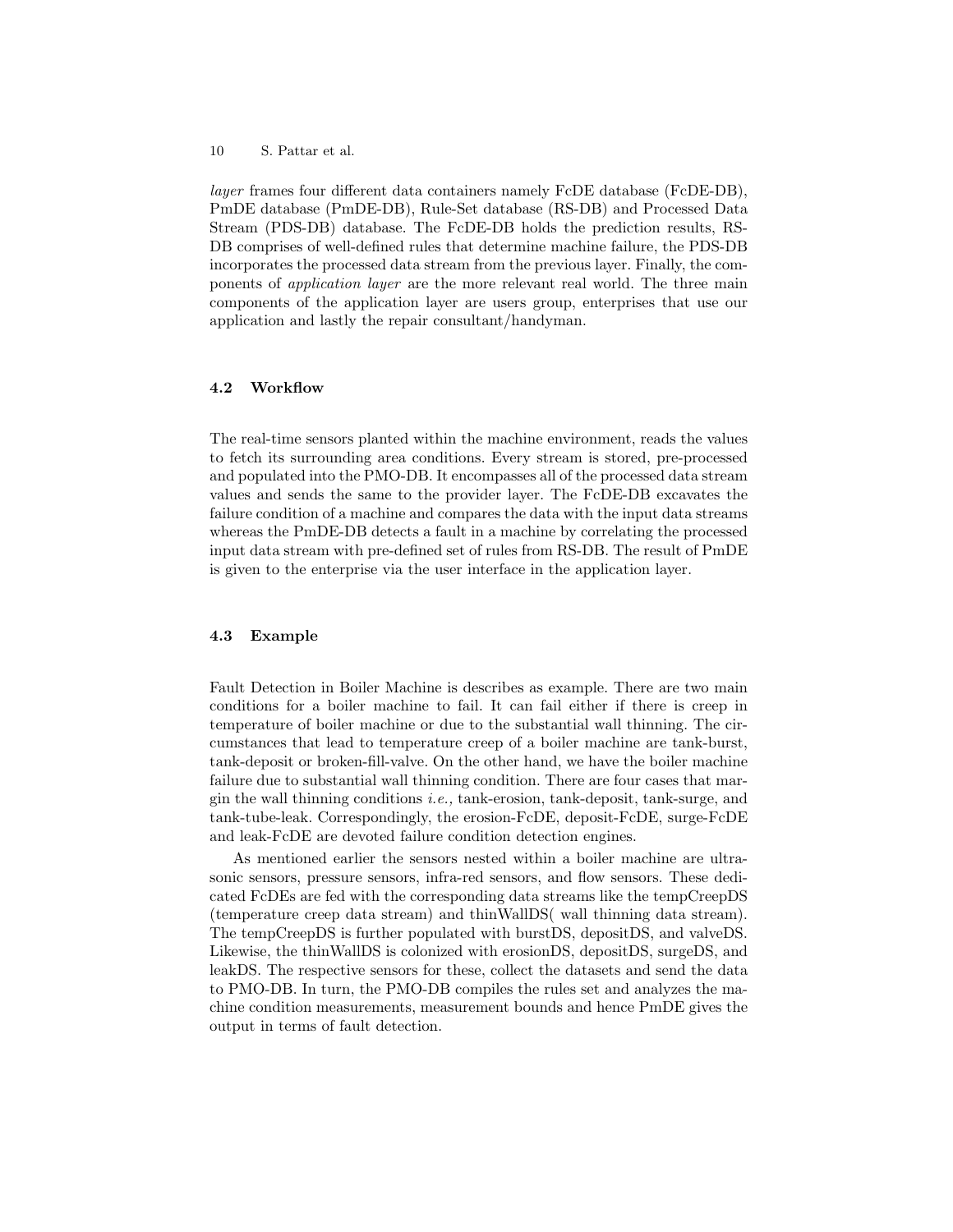layer frames four different data containers namely FcDE database (FcDE-DB), PmDE database (PmDE-DB), Rule-Set database (RS-DB) and Processed Data Stream (PDS-DB) database. The FcDE-DB holds the prediction results, RS-DB comprises of well-defined rules that determine machine failure, the PDS-DB incorporates the processed data stream from the previous layer. Finally, the components of application layer are the more relevant real world. The three main components of the application layer are users group, enterprises that use our application and lastly the repair consultant/handyman.

#### 4.2 Workflow

The real-time sensors planted within the machine environment, reads the values to fetch its surrounding area conditions. Every stream is stored, pre-processed and populated into the PMO-DB. It encompasses all of the processed data stream values and sends the same to the provider layer. The FcDE-DB excavates the failure condition of a machine and compares the data with the input data streams whereas the PmDE-DB detects a fault in a machine by correlating the processed input data stream with pre-defined set of rules from RS-DB. The result of PmDE is given to the enterprise via the user interface in the application layer.

#### 4.3 Example

Fault Detection in Boiler Machine is describes as example. There are two main conditions for a boiler machine to fail. It can fail either if there is creep in temperature of boiler machine or due to the substantial wall thinning. The circumstances that lead to temperature creep of a boiler machine are tank-burst, tank-deposit or broken-fill-valve. On the other hand, we have the boiler machine failure due to substantial wall thinning condition. There are four cases that margin the wall thinning conditions *i.e.*, tank-erosion, tank-deposit, tank-surge, and tank-tube-leak. Correspondingly, the erosion-FcDE, deposit-FcDE, surge-FcDE and leak-FcDE are devoted failure condition detection engines.

As mentioned earlier the sensors nested within a boiler machine are ultrasonic sensors, pressure sensors, infra-red sensors, and flow sensors. These dedicated FcDEs are fed with the corresponding data streams like the tempCreepDS (temperature creep data stream) and thinWallDS( wall thinning data stream). The tempCreepDS is further populated with burstDS, depositDS, and valveDS. Likewise, the thinWallDS is colonized with erosionDS, depositDS, surgeDS, and leakDS. The respective sensors for these, collect the datasets and send the data to PMO-DB. In turn, the PMO-DB compiles the rules set and analyzes the machine condition measurements, measurement bounds and hence PmDE gives the output in terms of fault detection.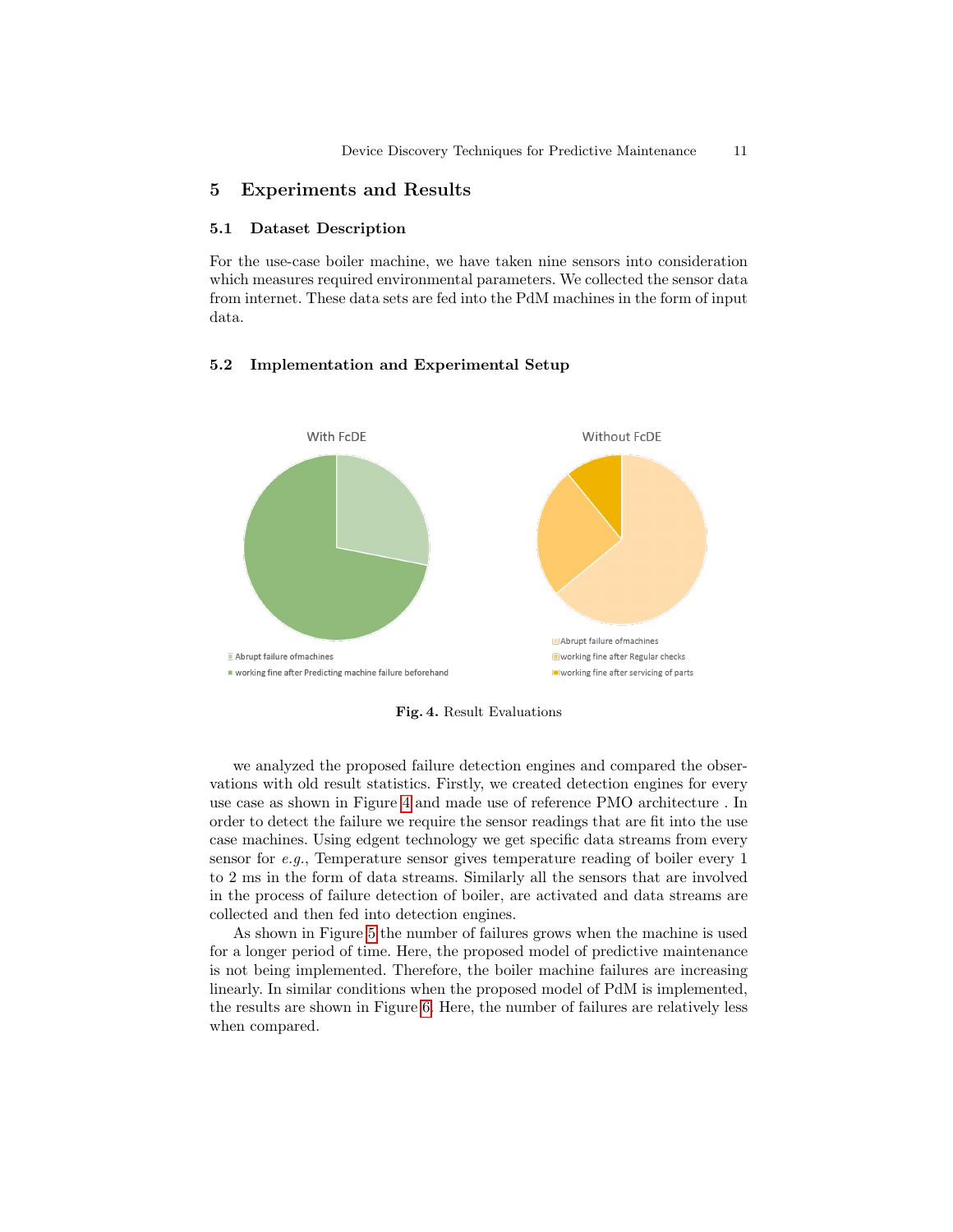# <span id="page-10-0"></span>5 Experiments and Results

#### 5.1 Dataset Description

For the use-case boiler machine, we have taken nine sensors into consideration which measures required environmental parameters. We collected the sensor data from internet. These data sets are fed into the PdM machines in the form of input data.

#### 5.2 Implementation and Experimental Setup



<span id="page-10-1"></span>Fig. 4. Result Evaluations

we analyzed the proposed failure detection engines and compared the observations with old result statistics. Firstly, we created detection engines for every use case as shown in Figure [4](#page-10-1) and made use of reference PMO architecture . In order to detect the failure we require the sensor readings that are fit into the use case machines. Using edgent technology we get specific data streams from every sensor for e.g., Temperature sensor gives temperature reading of boiler every 1 to 2 ms in the form of data streams. Similarly all the sensors that are involved in the process of failure detection of boiler, are activated and data streams are collected and then fed into detection engines.

As shown in Figure [5](#page-11-0) the number of failures grows when the machine is used for a longer period of time. Here, the proposed model of predictive maintenance is not being implemented. Therefore, the boiler machine failures are increasing linearly. In similar conditions when the proposed model of PdM is implemented, the results are shown in Figure [6.](#page-11-1) Here, the number of failures are relatively less when compared.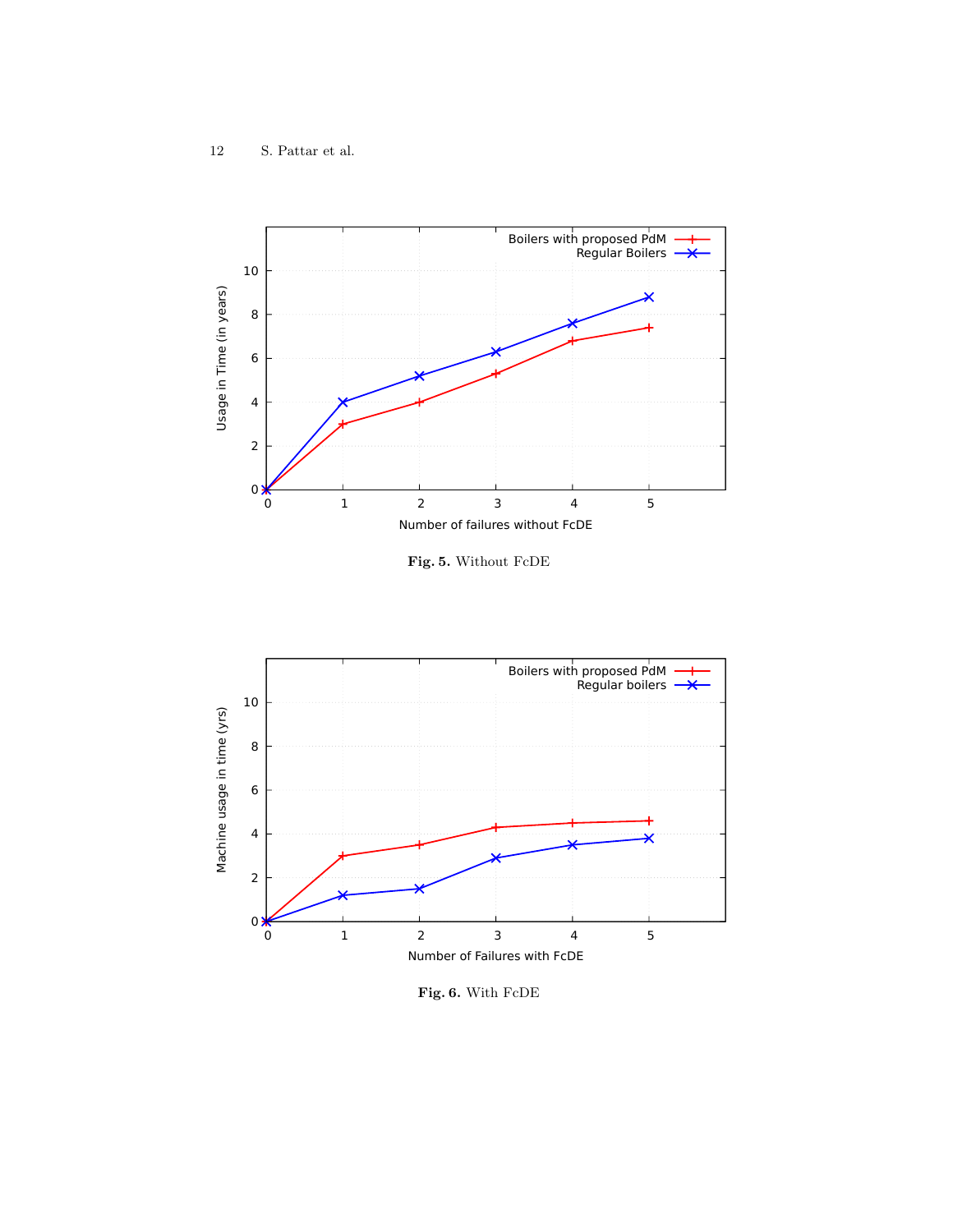![](_page_11_Figure_1.jpeg)

<span id="page-11-0"></span>Fig. 5. Without FcDE

![](_page_11_Figure_3.jpeg)

<span id="page-11-1"></span>Fig. 6. With FcDE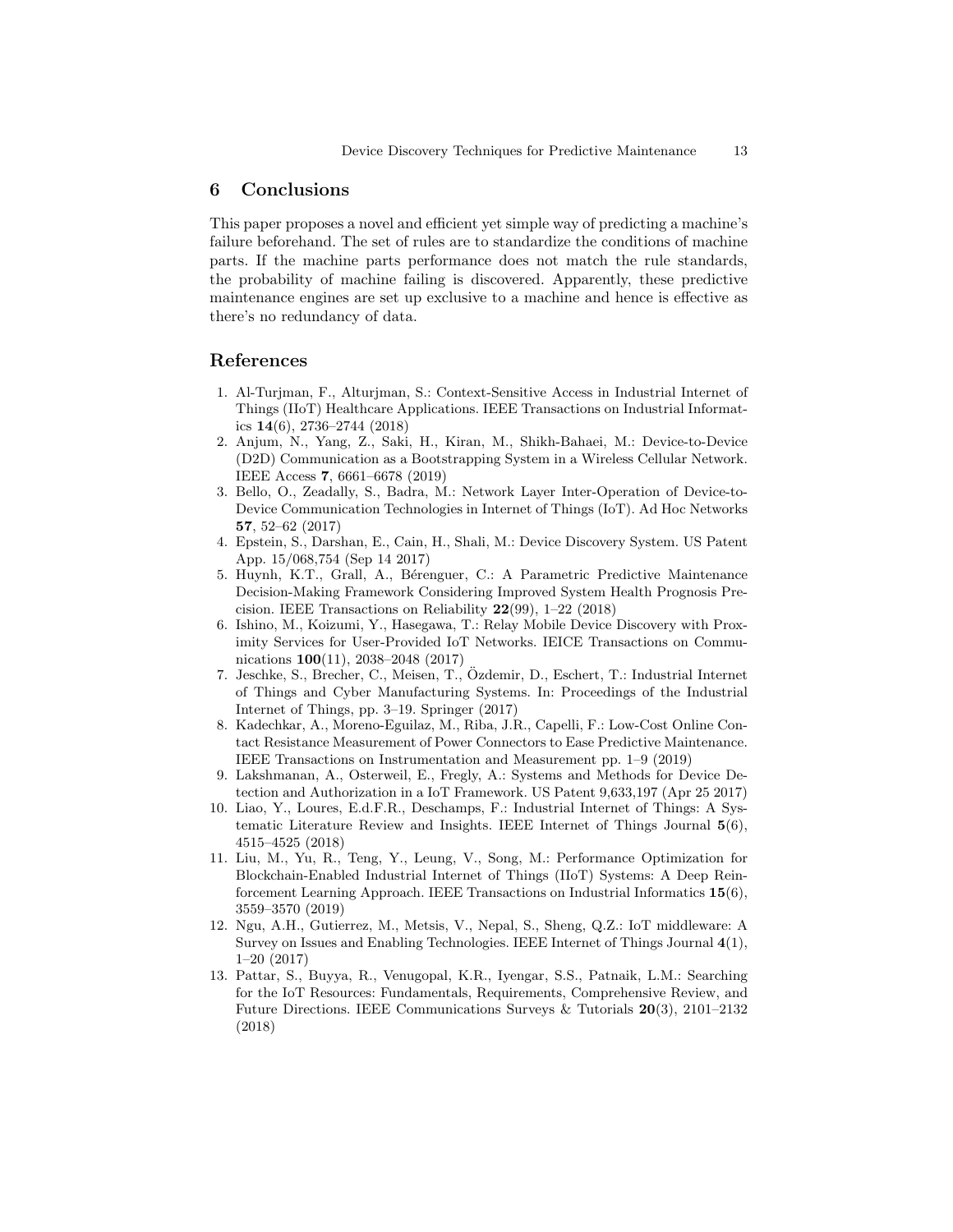# <span id="page-12-4"></span>6 Conclusions

This paper proposes a novel and efficient yet simple way of predicting a machine's failure beforehand. The set of rules are to standardize the conditions of machine parts. If the machine parts performance does not match the rule standards, the probability of machine failing is discovered. Apparently, these predictive maintenance engines are set up exclusive to a machine and hence is effective as there's no redundancy of data.

# References

- <span id="page-12-5"></span>1. Al-Turjman, F., Alturjman, S.: Context-Sensitive Access in Industrial Internet of Things (IIoT) Healthcare Applications. IEEE Transactions on Industrial Informatics 14(6), 2736–2744 (2018)
- <span id="page-12-1"></span>2. Anjum, N., Yang, Z., Saki, H., Kiran, M., Shikh-Bahaei, M.: Device-to-Device (D2D) Communication as a Bootstrapping System in a Wireless Cellular Network. IEEE Access 7, 6661–6678 (2019)
- <span id="page-12-13"></span>3. Bello, O., Zeadally, S., Badra, M.: Network Layer Inter-Operation of Device-to-Device Communication Technologies in Internet of Things (IoT). Ad Hoc Networks 57, 52–62 (2017)
- <span id="page-12-11"></span>4. Epstein, S., Darshan, E., Cain, H., Shali, M.: Device Discovery System. US Patent App. 15/068,754 (Sep 14 2017)
- <span id="page-12-8"></span>5. Huynh, K.T., Grall, A., Bérenguer, C.: A Parametric Predictive Maintenance Decision-Making Framework Considering Improved System Health Prognosis Precision. IEEE Transactions on Reliability 22(99), 1–22 (2018)
- <span id="page-12-10"></span>6. Ishino, M., Koizumi, Y., Hasegawa, T.: Relay Mobile Device Discovery with Proximity Services for User-Provided IoT Networks. IEICE Transactions on Communications 100(11), 2038–2048 (2017)
- <span id="page-12-7"></span>7. Jeschke, S., Brecher, C., Meisen, T., Ozdemir, D., Eschert, T.: Industrial Internet ¨ of Things and Cyber Manufacturing Systems. In: Proceedings of the Industrial Internet of Things, pp. 3–19. Springer (2017)
- <span id="page-12-3"></span>8. Kadechkar, A., Moreno-Eguilaz, M., Riba, J.R., Capelli, F.: Low-Cost Online Contact Resistance Measurement of Power Connectors to Ease Predictive Maintenance. IEEE Transactions on Instrumentation and Measurement pp. 1–9 (2019)
- <span id="page-12-12"></span>9. Lakshmanan, A., Osterweil, E., Fregly, A.: Systems and Methods for Device Detection and Authorization in a IoT Framework. US Patent 9,633,197 (Apr 25 2017)
- <span id="page-12-6"></span>10. Liao, Y., Loures, E.d.F.R., Deschamps, F.: Industrial Internet of Things: A Systematic Literature Review and Insights. IEEE Internet of Things Journal 5(6), 4515–4525 (2018)
- <span id="page-12-0"></span>11. Liu, M., Yu, R., Teng, Y., Leung, V., Song, M.: Performance Optimization for Blockchain-Enabled Industrial Internet of Things (IIoT) Systems: A Deep Reinforcement Learning Approach. IEEE Transactions on Industrial Informatics 15(6), 3559–3570 (2019)
- <span id="page-12-9"></span>12. Ngu, A.H., Gutierrez, M., Metsis, V., Nepal, S., Sheng, Q.Z.: IoT middleware: A Survey on Issues and Enabling Technologies. IEEE Internet of Things Journal 4(1), 1–20 (2017)
- <span id="page-12-2"></span>13. Pattar, S., Buyya, R., Venugopal, K.R., Iyengar, S.S., Patnaik, L.M.: Searching for the IoT Resources: Fundamentals, Requirements, Comprehensive Review, and Future Directions. IEEE Communications Surveys & Tutorials 20(3), 2101–2132 (2018)